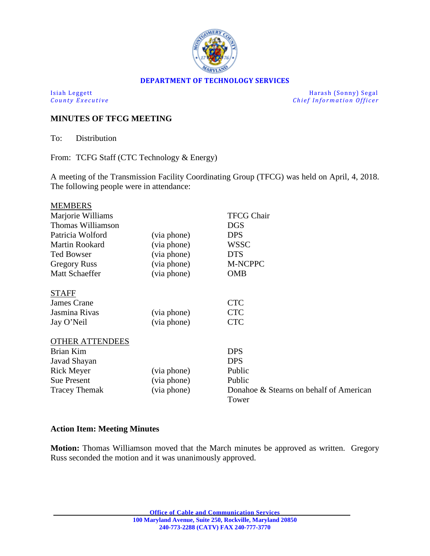

### **DEPARTMENT OF TECHNOLOGY SERVICES**

Isiah Leggett Harash (Sonny) Segal<br>
County Executive County Executive Chief Information Officer  $Chief Information$ *Officer* 

## **MINUTES OF TFCG MEETING**

To: Distribution

From: TCFG Staff (CTC Technology & Energy)

A meeting of the Transmission Facility Coordinating Group (TFCG) was held on April, 4, 2018. The following people were in attendance:

| <b>MEMBERS</b>         |             |                                                  |
|------------------------|-------------|--------------------------------------------------|
| Marjorie Williams      |             | <b>TFCG Chair</b>                                |
| Thomas Williamson      |             | <b>DGS</b>                                       |
| Patricia Wolford       | (via phone) | <b>DPS</b>                                       |
| <b>Martin Rookard</b>  | (via phone) | <b>WSSC</b>                                      |
| <b>Ted Bowser</b>      | (via phone) | <b>DTS</b>                                       |
| <b>Gregory Russ</b>    | (via phone) | M-NCPPC                                          |
| <b>Matt Schaeffer</b>  | (via phone) | <b>OMB</b>                                       |
| <b>STAFF</b>           |             |                                                  |
| <b>James Crane</b>     |             | <b>CTC</b>                                       |
| Jasmina Rivas          | (via phone) | <b>CTC</b>                                       |
| Jay O'Neil             | (via phone) | <b>CTC</b>                                       |
| <b>OTHER ATTENDEES</b> |             |                                                  |
| <b>Brian Kim</b>       |             | <b>DPS</b>                                       |
| Javad Shayan           |             | <b>DPS</b>                                       |
| <b>Rick Meyer</b>      | (via phone) | Public                                           |
| <b>Sue Present</b>     | (via phone) | Public                                           |
| <b>Tracey Themak</b>   | (via phone) | Donahoe & Stearns on behalf of American<br>Tower |

# **Action Item: Meeting Minutes**

**Motion:** Thomas Williamson moved that the March minutes be approved as written. Gregory Russ seconded the motion and it was unanimously approved.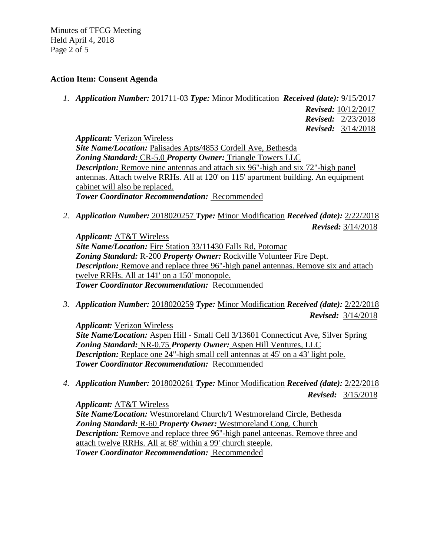Minutes of TFCG Meeting Held April 4, 2018 Page 2 of 5

### **Action Item: Consent Agenda**

*1. Application Number:* 201711-03 *Type:* Minor Modification *Received (date):* 9/15/2017

 *Revised:* 10/12/2017  *Revised:* 2/23/2018  *Revised:* 3/14/2018

*Applicant:* Verizon Wireless *Site Name/Location:* Palisades Apts*/*4853 Cordell Ave, Bethesda *Zoning Standard:* CR-5.0 *Property Owner:* Triangle Towers LLC *Description:* Remove nine antennas and attach six 96"-high and six 72"-high panel antennas. Attach twelve RRHs. All at 120' on 115' apartment building. An equipment cabinet will also be replaced. *Tower Coordinator Recommendation:* Recommended

*2. Application Number:* 2018020257 *Type:* Minor Modification *Received (date):* 2/22/2018  *Revised:* 3/14/2018

*Applicant:* AT&T Wireless *Site Name/Location:* Fire Station 33/11430 Falls Rd, Potomac *Zoning Standard:* R-200 *Property Owner:* Rockville Volunteer Fire Dept. *Description:* Remove and replace three 96"-high panel antennas. Remove six and attach twelve RRHs. All at 141' on a 150' monopole. *Tower Coordinator Recommendation:* Recommended

*3. Application Number:* 2018020259 *Type:* Minor Modification *Received (date):* 2/22/2018  *Revised:* 3/14/2018

*Applicant:* Verizon Wireless *Site Name/Location:* Aspen Hill - Small Cell 3*/*13601 Connecticut Ave, Silver Spring *Zoning Standard:* NR-0.75 *Property Owner:* Aspen Hill Ventures, LLC *Description:* Replace one 24"-high small cell antennas at 45' on a 43' light pole. *Tower Coordinator Recommendation:* Recommended

*4. Application Number:* 2018020261 *Type:* Minor Modification *Received (date):* 2/22/2018  *Revised:* 3/15/2018

*Applicant:* AT&T Wireless *Site Name/Location:* Westmoreland Church*/*1 Westmoreland Circle, Bethesda *Zoning Standard:* R-60 *Property Owner:* Westmoreland Cong. Church *Description:* Remove and replace three 96"-high panel anteenas. Remove three and attach twelve RRHs. All at 68' within a 99' church steeple. *Tower Coordinator Recommendation:* Recommended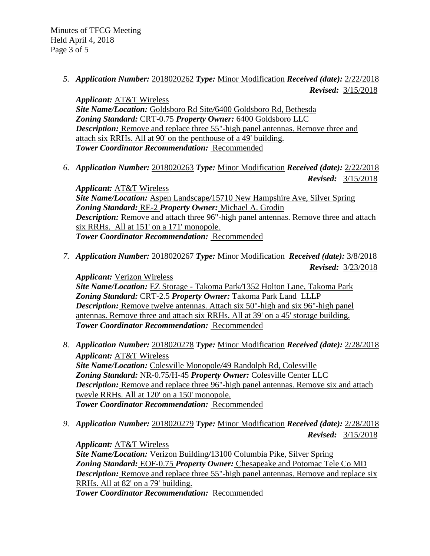*5. Application Number:* 2018020262 *Type:* Minor Modification *Received (date):* 2/22/2018  *Revised:* 3/15/2018

*Applicant:* AT&T Wireless *Site Name/Location:* Goldsboro Rd Site*/*6400 Goldsboro Rd, Bethesda *Zoning Standard:* CRT-0.75 *Property Owner:* 6400 Goldsboro LLC *Description:* Remove and replace three 55"-high panel antennas. Remove three and attach six RRHs. All at 90' on the penthouse of a 49' building. *Tower Coordinator Recommendation:* Recommended

*6. Application Number:* 2018020263 *Type:* Minor Modification *Received (date):* 2/22/2018  *Revised:* 3/15/2018

*Applicant:* AT&T Wireless *Site Name/Location:* Aspen Landscape*/*15710 New Hampshire Ave, Silver Spring *Zoning Standard:* RE-2 *Property Owner:* Michael A. Grodin *Description:* Remove and attach three 96"-high panel antennas. Remove three and attach six RRHs. All at 151' on a 171' monopole. *Tower Coordinator Recommendation:* Recommended

*7. Application Number:* 2018020267 *Type:* Minor Modification *Received (date):* 3/8/2018  *Revised:* 3/23/2018

*Applicant:* Verizon Wireless *Site Name/Location:* EZ Storage - Takoma Park*/*1352 Holton Lane, Takoma Park *Zoning Standard:* CRT-2.5 *Property Owner:* Takoma Park Land LLLP *Description:* Remove twelve antennas. Attach six 50"-high and six 96"-high panel antennas. Remove three and attach six RRHs. All at 39' on a 45' storage building. *Tower Coordinator Recommendation:* Recommended

- *8. Application Number:* 2018020278 *Type:* Minor Modification *Received (date):* 2/28/2018 *Applicant:* AT&T Wireless *Site Name/Location:* Colesville Monopole*/*49 Randolph Rd, Colesville *Zoning Standard:* NR-0.75/H-45 *Property Owner:* Colesville Center LLC *Description:* Remove and replace three 96"-high panel antennas. Remove six and attach twevle RRHs. All at 120' on a 150' monopole. *Tower Coordinator Recommendation:* Recommended
- *9. Application Number:* 2018020279 *Type:* Minor Modification *Received (date):* 2/28/2018  *Revised:* 3/15/2018

*Applicant:* AT&T Wireless *Site Name/Location:* Verizon Building*/*13100 Columbia Pike, Silver Spring *Zoning Standard:* EOF-0.75 *Property Owner:* Chesapeake and Potomac Tele Co MD *Description:* Remove and replace three 55"-high panel antennas. Remove and replace six RRHs. All at 82' on a 79' building. *Tower Coordinator Recommendation:* Recommended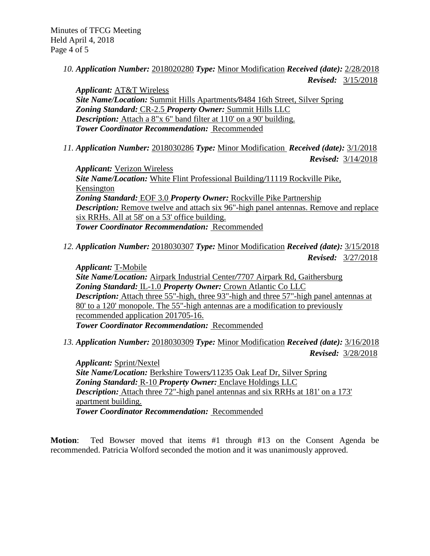*10. Application Number:* 2018020280 *Type:* Minor Modification *Received (date):* 2/28/2018  *Revised:* 3/15/2018

*Applicant:* AT&T Wireless *Site Name/Location:* Summit Hills Apartments*/*8484 16th Street, Silver Spring *Zoning Standard:* CR-2.5 *Property Owner:* Summit Hills LLC **Description:** Attach a 8"x 6" band filter at 110' on a 90' building. *Tower Coordinator Recommendation:* Recommended

*11. Application Number:* 2018030286 *Type:* Minor Modification *Received (date):* 3/1/2018

 *Revised:* 3/14/2018

*Applicant:* Verizon Wireless *Site Name/Location:* White Flint Professional Building*/*11119 Rockville Pike, Kensington *Zoning Standard:* EOF 3.0 *Property Owner:* Rockville Pike Partnership *Description:* Remove twelve and attach six 96"-high panel antennas. Remove and replace six RRHs. All at 58' on a 53' office building. *Tower Coordinator Recommendation:* Recommended

*12. Application Number:* 2018030307 *Type:* Minor Modification *Received (date):* 3/15/2018  *Revised:* 3/27/2018

*Applicant:* T-Mobile *Site Name/Location:* Airpark Industrial Center*/*7707 Airpark Rd, Gaithersburg *Zoning Standard:* IL-1.0 *Property Owner:* Crown Atlantic Co LLC *Description:* Attach three 55"-high, three 93"-high and three 57"-high panel antennas at 80' to a 120' monopole. The 55"-high antennas are a modification to previously recommended application 201705-16. *Tower Coordinator Recommendation:* Recommended

*13. Application Number:* 2018030309 *Type:* Minor Modification *Received (date):* 3/16/2018

 *Revised:* 3/28/2018

*Applicant:* Sprint/Nextel *Site Name/Location:* Berkshire Towers*/*11235 Oak Leaf Dr, Silver Spring *Zoning Standard:* R-10 *Property Owner:* Enclave Holdings LLC *Description:* Attach three 72"-high panel antennas and six RRHs at 181' on a 173' apartment building. *Tower Coordinator Recommendation:* Recommended

**Motion**: Ted Bowser moved that items #1 through #13 on the Consent Agenda be recommended. Patricia Wolford seconded the motion and it was unanimously approved.